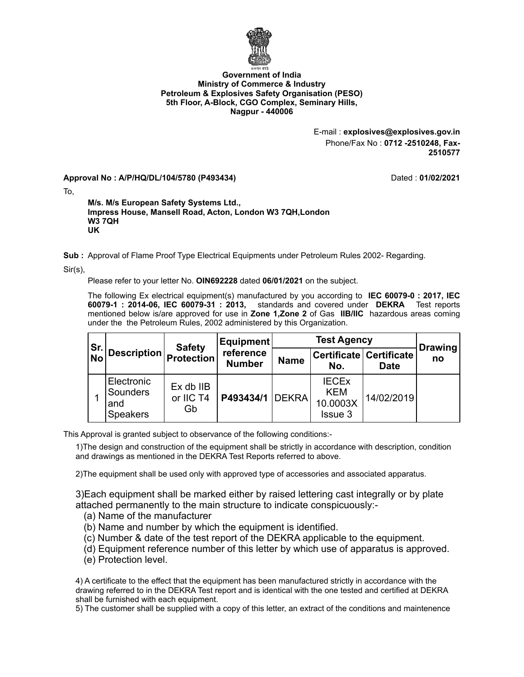

## **Government of India Ministry of Commerce & Industry Petroleum & Explosives Safety Organisation (PESO) 5th Floor, A-Block, CGO Complex, Seminary Hills, Nagpur - 440006**

E-mail : **explosives@explosives.gov.in** Phone/Fax No : **0712 -2510248, Fax-2510577**

**Approval No : A/P/HQ/DL/104/5780 (P493434)** Dated : **01/02/2021**

To,

**M/s. M/s European Safety Systems Ltd., Impress House, Mansell Road, Acton, London W3 7QH,London W3 7QH UK**

**Sub :** Approval of Flame Proof Type Electrical Equipments under Petroleum Rules 2002- Regarding.

Sir(s),

Please refer to your letter No. **OIN692228** dated **06/01/2021** on the subject.

The following Ex electrical equipment(s) manufactured by you according to **IEC 60079-0 : 2017, IEC 60079-1 : 2014-06, IEC 60079-31 : 2013,** standards and covered under **DEKRA** Test reports mentioned below is/are approved for use in **Zone 1,Zone 2** of Gas **IIB/IIC** hazardous areas coming under the the Petroleum Rules, 2002 administered by this Organization.

| Sr.<br>No | <b>Description</b>                                      | <b>Safety</b><br>Protection  | Equipment<br>reference<br><b>Number</b> | <b>Test Agency</b> |                                                          |                                        | <b>Drawing</b> |
|-----------|---------------------------------------------------------|------------------------------|-----------------------------------------|--------------------|----------------------------------------------------------|----------------------------------------|----------------|
|           |                                                         |                              |                                         | <b>Name</b>        | No.                                                      | Certificate Certificate<br><b>Date</b> | no             |
|           | Electronic<br><b>Sounders</b><br>and<br><b>Speakers</b> | Ex db IIB<br>or IIC T4<br>Gb | <b>P493434/1 DEKRA</b>                  |                    | <b>IECEX</b><br><b>KEM</b><br>10.0003X<br><b>Issue 3</b> | 14/02/2019                             |                |

This Approval is granted subject to observance of the following conditions:-

1)The design and construction of the equipment shall be strictly in accordance with description, condition and drawings as mentioned in the DEKRA Test Reports referred to above.

2)The equipment shall be used only with approved type of accessories and associated apparatus.

3)Each equipment shall be marked either by raised lettering cast integrally or by plate attached permanently to the main structure to indicate conspicuously:-

- (a) Name of the manufacturer
- (b) Name and number by which the equipment is identified.
- (c) Number & date of the test report of the DEKRA applicable to the equipment.
- (d) Equipment reference number of this letter by which use of apparatus is approved.
- (e) Protection level.

4) A certificate to the effect that the equipment has been manufactured strictly in accordance with the drawing referred to in the DEKRA Test report and is identical with the one tested and certified at DEKRA shall be furnished with each equipment.

5) The customer shall be supplied with a copy of this letter, an extract of the conditions and maintenence